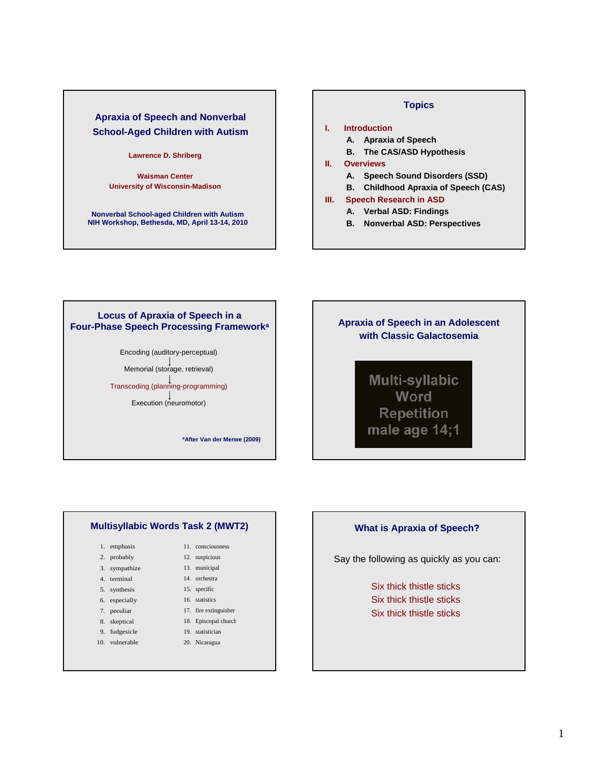# **Apraxia of Speech and Nonverbal School-Aged Children with Autism**

#### **Lawrence D. Shriberg**

**Waisman Center University of Wisconsin-Madison**

**Nonverbal School-aged Children with Autism NIH Workshop, Bethesda, MD, April 13-14, 2010**

#### **Topics**

# **I. Introduction**

- **A. Apraxia of Speech**
- **B. The CAS/ASD Hypothesis**

#### **II. Overviews**

- **A. Speech Sound Disorders (SSD)**
- **B. Childhood Apraxia of Speech (CAS)**

#### **III. Speech Research in ASD**

- **A. Verbal ASD: Findings**
- **B. Nonverbal ASD: Perspectives**

#### **Locus of Apraxia of Speech in a Four-Phase Speech Processing Frameworka**

Encoding (auditory-perceptual)

Memorial (storage, retrieval)

Transcoding (planning-programming)

Execution (neuromotor)

**aAfter Van der Merwe (2009)**

# **Apraxia of Speech in an Adolescent with Classic Galactosemia**

**Multi-syllabic** Word **Repetition** male age 14;1

#### **Multisyllabic Words Task 2 (MWT2)**

- 1. emphasis
- 2. probably
- 3. sympathize
- 4. terminal
- 5. synthesis
- 6. especially
- 7. peculiar
- 8. skeptical
- 9. fudgesicle
- 10. vulnerable
- 17. fire extinguisher 18. Episcopal church

 11. consciousness 12. suspicious 13. municipal 14. orchestra 15. specific 16. statistics

- 19. statistician
- 20. Nicaragua

#### **What is Apraxia of Speech?**

Say the following as quickly as you can:

Six thick thistle sticks Six thick thistle sticks Six thick thistle sticks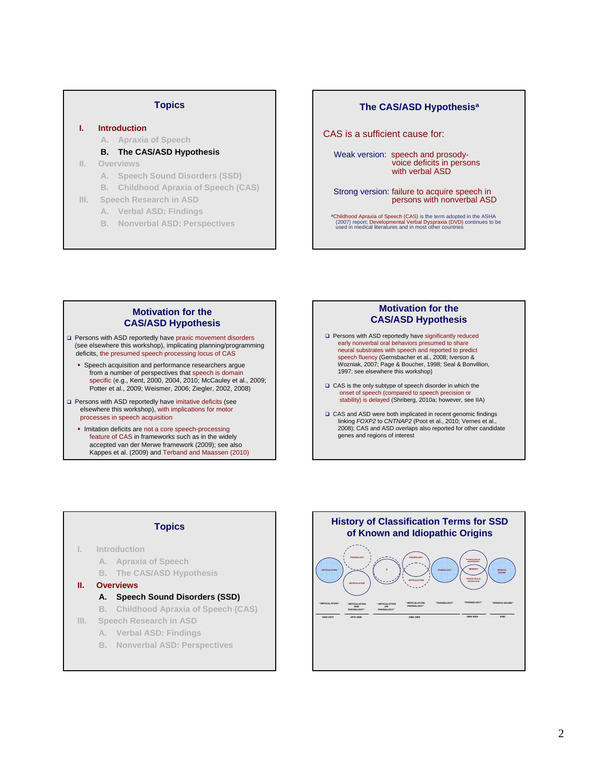#### **Topics**

#### **I. Introduction**

#### **A. Apraxia of Speech**

- **B. The CAS/ASD Hypothesis**
- **II. Overviews** 
	- **A. Speech Sound Disorders (SSD)**
	- **B. Childhood Apraxia of Speech (CAS)**
- **III. Speech Research in ASD**
	- **A. Verbal ASD: Findings**
	- **B. Nonverbal ASD: Perspectives**

#### **The CAS/ASD Hypothesisa**

CAS is a sufficient cause for:

Weak version: speech and prosodyvoice deficits in persons with verbal ASD

Strong version: failure to acquire speech in persons with nonverbal ASD

**aChildhood Apraxia of Speech (CAS) is the term adopted in the ASHA**<br>(2007) report; Developmental Verbal Dyspraxia (DVD) continues to be<br>used in medical literatures and in most other countries

#### **Motivation for the CAS/ASD Hypothesis**

- □ Persons with ASD reportedly have praxic movement disorders (see elsewhere this workshop), implicating planning/programming deficits, the presumed speech processing locus of CAS
	- **Speech acquisition and performance researchers argue** from a number of perspectives that speech is domain specific (e.g., Kent, 2000, 2004, 2010; McCauley et al., 2009; Potter et al., 2009; Weismer, 2006; Ziegler, 2002, 2008)
- Persons with ASD reportedly have imitative deficits (see elsewhere this workshop), with implications for motor processes in speech acquisition
	- **Imitation deficits are not a core speech-processing** feature of CAS in frameworks such as in the widely accepted van der Merwe framework (2009); see also Kappes et al. (2009) and Terband and Maassen (2010)

#### **Motivation for the CAS/ASD Hypothesis**

- **Q** Persons with ASD reportedly have significantly reduced early nonverbal oral behaviors presumed to share neural substrates with speech and reported to predict speech fluency (Gernsbacher et al., 2008; Iverson & Wozniak, 2007; Page & Boucher, 1998; Seal & Bonvillion, 1997; see elsewhere this workshop)
- CAS is the only subtype of speech disorder in which the onset of speech (compared to speech precision or stability) is delayed (Shriberg, 2010a; however, see IIA)
- □ CAS and ASD were both implicated in recent genomic findings linking *FOXP2* to *CNTNAP2* (Poot et al., 2010; Vernes et al., 2008); CAS and ASD overlaps also reported for other candidate genes and regions of interest

#### **Topics**

- **I. Introduction** 
	- **A. Apraxia of Speech**
	- **B. The CAS/ASD Hypothesis**
- **II. Overviews** 
	- **A. Speech Sound Disorders (SSD)**
	- **B. Childhood Apraxia of Speech (CAS)**
- **III. Speech Research in ASD**
	- **A. Verbal ASD: Findings**
	- **B. Nonverbal ASD: Perspectives**

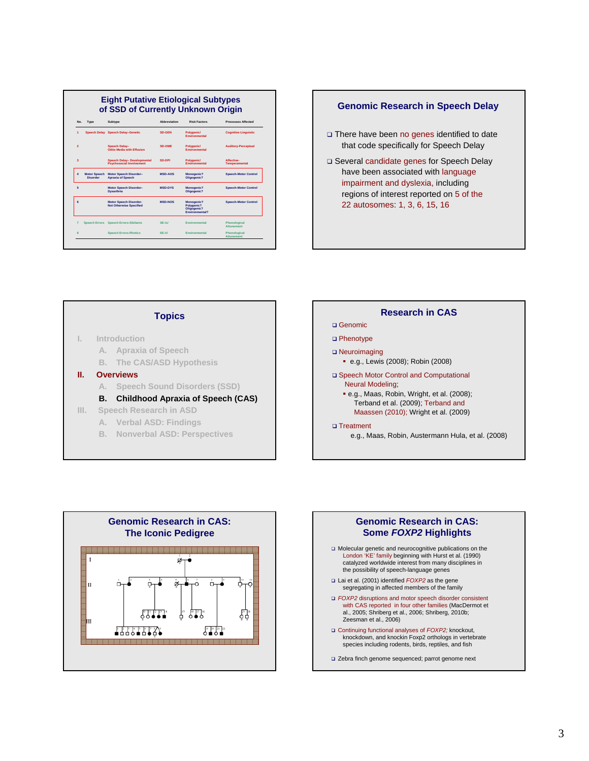#### **Eight Putative Etiological Subtypes of SSD of Currently Unknown Origin No. Type Subtype Abbreviation Risk Factors Processes Affected 1 Speech Delay Speech Delay–Genetic SD-GEN Polygenic/ Environmental Cognitive-Linguistic 2 Speech Delay– Otitis Media with Effusion SD-OME Polygenic/ Environmental Auditory-Perceptual 3 Speech Delay– Developmental Psychosocial Involvement SD-DPI Polygenic/ Environmental Affective-Temperamental 4 Motor Speech Disorder Motor Speech Disorder– Apraxia of Speech MSD-AOS Monogenic? Oligogenic? Speech-Motor Control 5 Motor Speech Disorder– Dysarthria MSD-DYS Monogenic? Oligogenic? Speech-Motor Control 6 Motor Speech Disorder-Not Otherwise Specified MSD-NOS Monogenic? Polygenic? Oligogenic? Environmental? Speech-Motor Control 7 Speech Errors Speech Errors-Sibilants SE-/s/ Environmental Phonological Attunement 8 Speech Errors-Rhotics SE-/r/ Environmental Phonological Attunement**

# □ There have been no genes identified to date that code specifically for Speech Delay Several candidate genes for Speech Delay have been associated with language impairment and dyslexia, including regions of interest reported on 5 of the 22 autosomes: 1, 3, 6, 15, 16 **Genomic Research in Speech Delay**

# **Topics**

- **I. Introduction** 
	- **A. Apraxia of Speech**
	- **B. The CAS/ASD Hypothesis**
- **II. Overviews** 
	- **A. Speech Sound Disorders (SSD)**
	- **B. Childhood Apraxia of Speech (CAS)**
- **III. Speech Research in ASD**
	- **A. Verbal ASD: Findings**
	- **B. Nonverbal ASD: Perspectives**





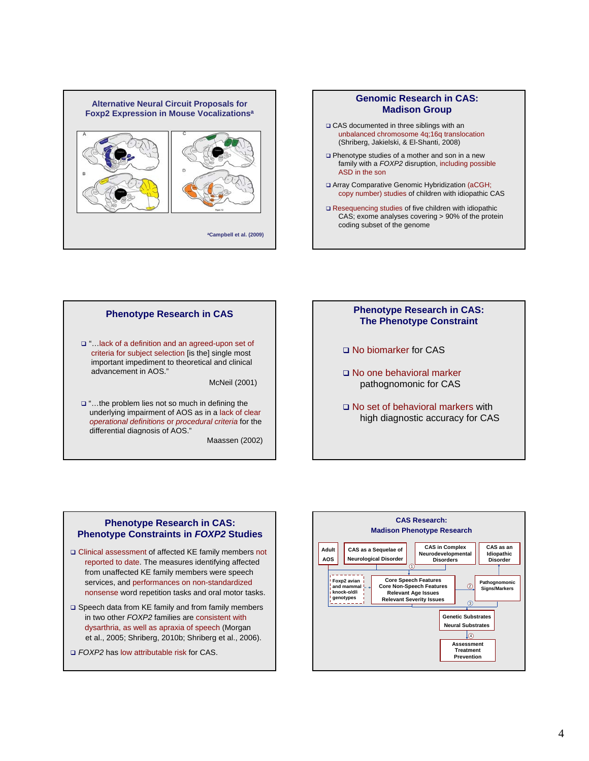





Maassen (2002)



- □ No biomarker for CAS
- No one behavioral marker pathognomonic for CAS
- □ No set of behavioral markers with high diagnostic accuracy for CAS

#### **Phenotype Research in CAS: Phenotype Constraints in** *FOXP2* **Studies**

- Clinical assessment of affected KE family members not reported to date. The measures identifying affected from unaffected KE family members were speech services, and performances on non-standardized nonsense word repetition tasks and oral motor tasks.
- □ Speech data from KE family and from family members in two other *FOXP2* families are consistent with dysarthria, as well as apraxia of speech (Morgan et al., 2005; Shriberg, 2010b; Shriberg et al., 2006).
- *FOXP2* has low attributable risk for CAS.

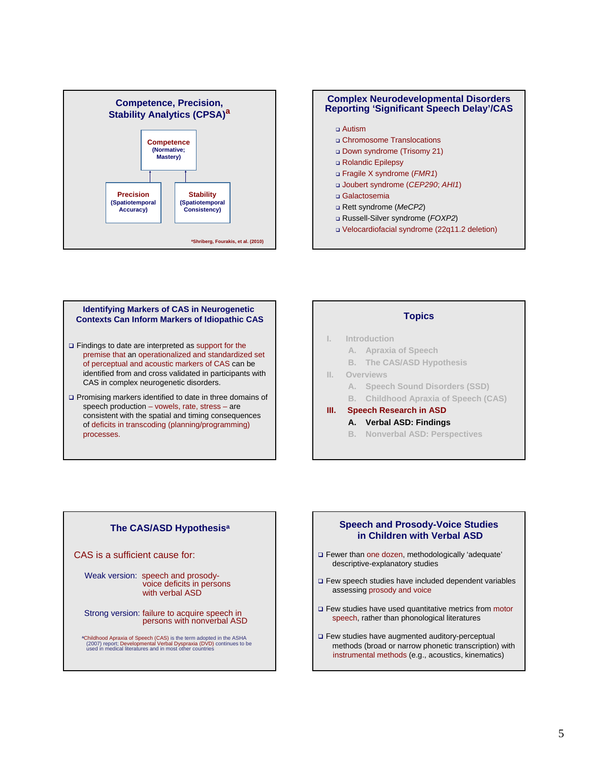



#### **Identifying Markers of CAS in Neurogenetic Contexts Can Inform Markers of Idiopathic CAS**

- □ Findings to date are interpreted as support for the premise that an operationalized and standardized set of perceptual and acoustic markers of CAS can be identified from and cross validated in participants with CAS in complex neurogenetic disorders.
- Promising markers identified to date in three domains of speech production – vowels, rate, stress – are consistent with the spatial and timing consequences of deficits in transcoding (planning/programming) processes.

# **Topics**

#### **I. Introduction**

- **A. Apraxia of Speech**
- **B. The CAS/ASD Hypothesis**
- **II. Overviews** 
	- **A. Speech Sound Disorders (SSD)**
	- **B. Childhood Apraxia of Speech (CAS)**

# **III. Speech Research in ASD**

- **A. Verbal ASD: Findings**
	- **B. Nonverbal ASD: Perspectives**

# **The CAS/ASD Hypothesisa**

CAS is a sufficient cause for:

- Weak version: speech and prosodyvoice deficits in persons with verbal ASD
- Strong version: failure to acquire speech in persons with nonverbal ASD

**aChildhood Apraxia of Speech (CAS)** is the term adopted in the ASHA<br>(2007) report; Developmental Verbal Dyspraxia (DVD) continues to be<br>used in medical literatures and in most other countries

#### **Speech and Prosody-Voice Studies in Children with Verbal ASD**

- Fewer than one dozen, methodologically 'adequate' descriptive-explanatory studies
- Few speech studies have included dependent variables assessing prosody and voice
- □ Few studies have used quantitative metrics from motor speech, rather than phonological literatures
- Few studies have augmented auditory-perceptual methods (broad or narrow phonetic transcription) with instrumental methods (e.g., acoustics, kinematics)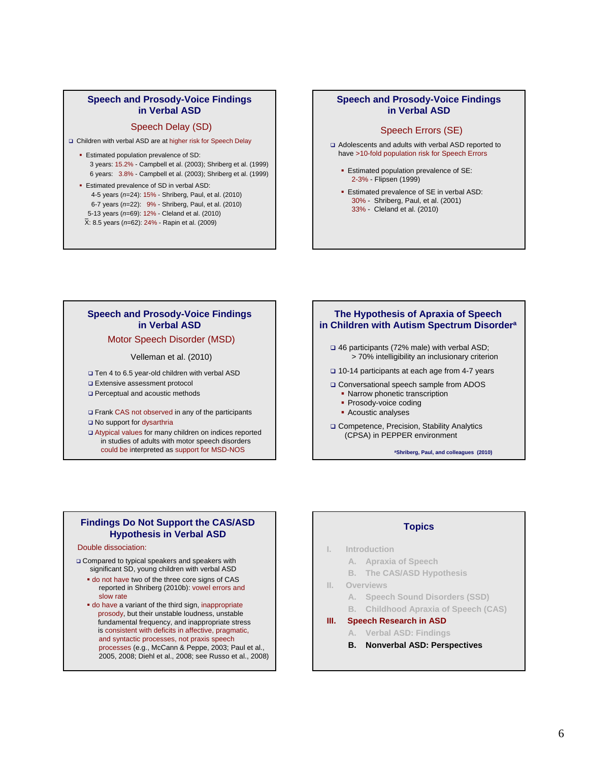#### **Speech and Prosody-Voice Findings in Verbal ASD**

#### Speech Delay (SD)

Children with verbal ASD are at higher risk for Speech Delay

- **Estimated population prevalence of SD:** 3 years: 15.2% - Campbell et al. (2003); Shriberg et al. (1999) 6 years: 3.8% - Campbell et al. (2003); Shriberg et al. (1999)
- **Estimated prevalence of SD in verbal ASD:** 4-5 years (*n*=24): 15% - Shriberg, Paul, et al. (2010) 6-7 years (*n*=22): 9% - Shriberg, Paul, et al. (2010) 5-13 years (*n*=69): 12% - Cleland et al. (2010)
	- X: 8.5 years (*n*=62): 24% Rapin et al. (2009)

#### **Speech and Prosody-Voice Findings in Verbal ASD**

#### Speech Errors (SE)

- Adolescents and adults with verbal ASD reported to have >10-fold population risk for Speech Errors
	- **Estimated population prevalence of SE:** 2-3% - Flipsen (1999)
	- **Estimated prevalence of SE in verbal ASD:** 30% - Shriberg, Paul, et al. (2001) 33% - Cleland et al. (2010)

#### **Speech and Prosody-Voice Findings in Verbal ASD**

#### Motor Speech Disorder (MSD)

Velleman et al. (2010)

- □ Ten 4 to 6.5 year-old children with verbal ASD
- Extensive assessment protocol
- □ Perceptual and acoustic methods
- Frank CAS not observed in any of the participants
- No support for dysarthria
- Atypical values for many children on indices reported in studies of adults with motor speech disorders could be interpreted as support for MSD-NOS

#### **The Hypothesis of Apraxia of Speech in Children with Autism Spectrum Disordera**

- 46 participants (72% male) with verbal ASD; > 70% intelligibility an inclusionary criterion
- 10-14 participants at each age from 4-7 years
- Conversational speech sample from ADOS
	- Narrow phonetic transcription
	- Prosody-voice coding
	- **Acoustic analyses**
- □ Competence, Precision, Stability Analytics (CPSA) in PEPPER environment

**aShriberg, Paul, and colleagues (2010)** 

#### **Findings Do Not Support the CAS/ASD Hypothesis in Verbal ASD**

#### Double dissociation:

- Compared to typical speakers and speakers with significant SD, young children with verbal ASD
	- do not have two of the three core signs of CAS reported in Shriberg (2010b): vowel errors and slow rate
	- do have a variant of the third sign, inappropriate prosody, but their unstable loudness, unstable fundamental frequency, and inappropriate stress is consistent with deficits in affective, pragmatic, and syntactic processes, not praxis speech processes (e.g., McCann & Peppe, 2003; Paul et al., 2005, 2008; Diehl et al., 2008; see Russo et al., 2008)

#### **Topics**

- **I. Introduction** 
	- **A. Apraxia of Speech**
	- **B. The CAS/ASD Hypothesis**
- **II. Overviews** 
	- **A. Speech Sound Disorders (SSD)**
	- **B. Childhood Apraxia of Speech (CAS)**
- **III. Speech Research in ASD**
	- **A. Verbal ASD: Findings**
	- **B. Nonverbal ASD: Perspectives**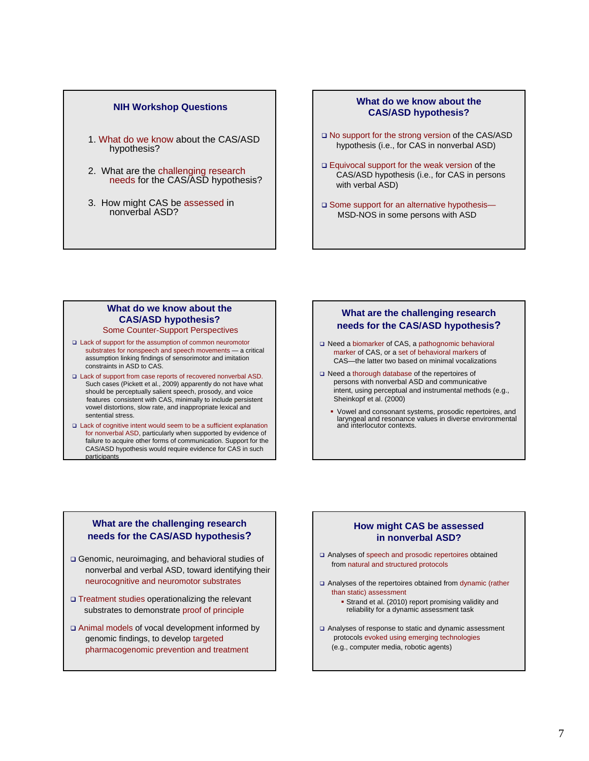- 1. What do we know about the CAS/ASD hypothesis?
- 2. What are the challenging research needs for the CAS/ASD hypothesis?
- 3. How might CAS be assessed in nonverbal ASD?

#### **NIH Workshop Questions NIH Workshop Questions CAS/ASD hypothesis?**

- □ No support for the strong version of the CAS/ASD hypothesis (i.e., for CAS in nonverbal ASD)
- □ Equivocal support for the weak version of the CAS/ASD hypothesis (i.e., for CAS in persons with verbal ASD)
- □ Some support for an alternative hypothesis-MSD-NOS in some persons with ASD

# Some Counter-Support Perspectives **What do we know about the**

- □ Lack of support for the assumption of common neuromotor substrates for nonspeech and speech movements — a critical assumption linking findings of sensorimotor and imitation constraints in ASD to CAS.
- □ Lack of support from case reports of recovered nonverbal ASD. Such cases (Pickett et al., 2009) apparently do not have what should be perceptually salient speech, prosody, and voice features consistent with CAS, minimally to include persistent vowel distortions, slow rate, and inappropriate lexical and sentential stress.
- □ Lack of cognitive intent would seem to be a sufficient explanation for nonverbal ASD, particularly when supported by evidence of failure to acquire other forms of communication. Support for the CAS/ASD hypothesis would require evidence for CAS in such participants

### **CAS/ASD hypothesis? What are the challenging research needs for the CAS/ASD hypothesis?**

- Need a biomarker of CAS, a pathognomic behavioral marker of CAS, or a set of behavioral markers of CAS—the latter two based on minimal vocalizations
- □ Need a thorough database of the repertoires of persons with nonverbal ASD and communicative intent, using perceptual and instrumental methods (e.g., Sheinkopf et al. (2000)
	- Vowel and consonant systems, prosodic repertoires, and laryngeal and resonance values in diverse environmental and interlocutor contexts.

## **What are the challenging research needs for the CAS/ASD hypothesis?**

- Genomic, neuroimaging, and behavioral studies of nonverbal and verbal ASD, toward identifying their neurocognitive and neuromotor substrates
- Treatment studies operationalizing the relevant substrates to demonstrate proof of principle
- Animal models of vocal development informed by genomic findings, to develop targeted pharmacogenomic prevention and treatment

#### **How might CAS be assessed in nonverbal ASD?**

- Analyses of speech and prosodic repertoires obtained from natural and structured protocols
- Analyses of the repertoires obtained from dynamic (rather than static) assessment
	- **Strand et al. (2010) report promising validity and** reliability for a dynamic assessment task
- Analyses of response to static and dynamic assessment protocols evoked using emerging technologies (e.g., computer media, robotic agents)